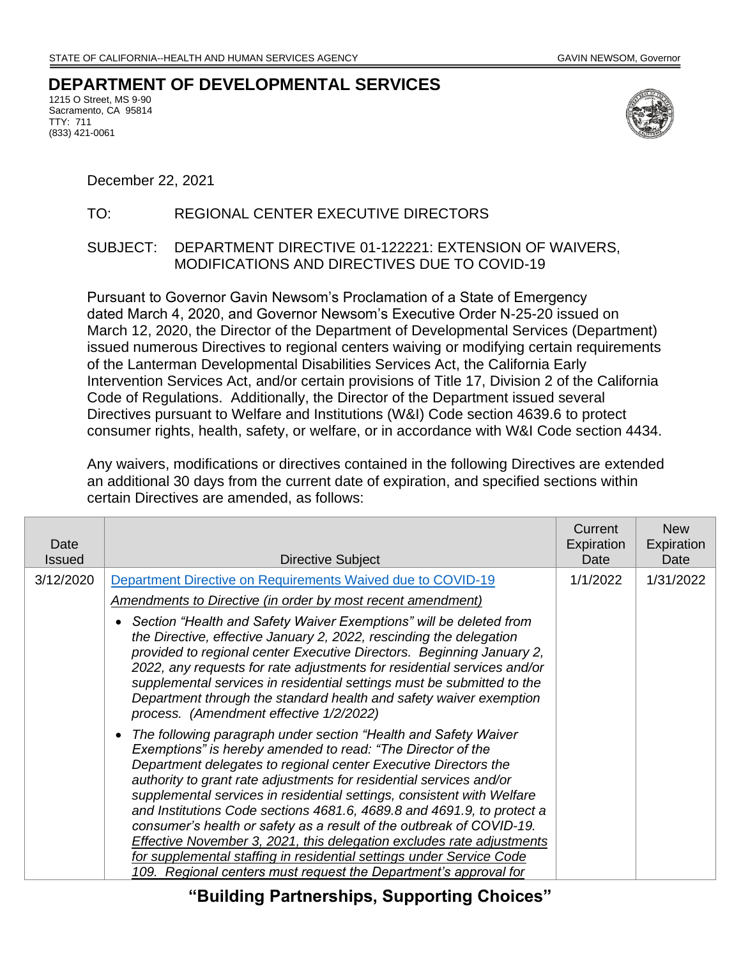## **DEPARTMENT OF DEVELOPMENTAL SERVICES**

1215 O Street, MS 9-90 Sacramento, CA 95814 TTY: 711 (833) 421-0061



December 22, 2021

## TO: REGIONAL CENTER EXECUTIVE DIRECTORS

## SUBJECT: DEPARTMENT DIRECTIVE 01-122221: EXTENSION OF WAIVERS, MODIFICATIONS AND DIRECTIVES DUE TO COVID-19

Pursuant to Governor Gavin Newsom's Proclamation of a State of Emergency dated March 4, 2020, and Governor Newsom's Executive Order N-25-20 issued on March 12, 2020, the Director of the Department of Developmental Services (Department) issued numerous Directives to regional centers waiving or modifying certain requirements of the Lanterman Developmental Disabilities Services Act, the California Early Intervention Services Act, and/or certain provisions of Title 17, Division 2 of the California Code of Regulations. Additionally, the Director of the Department issued several Directives pursuant to Welfare and Institutions (W&I) Code section 4639.6 to protect consumer rights, health, safety, or welfare, or in accordance with W&I Code section 4434.

Any waivers, modifications or directives contained in the following Directives are extended an additional 30 days from the current date of expiration, and specified sections within certain Directives are amended, as follows:

| Date<br><b>Issued</b> | Directive Subject                                                                                                                                                                                                                                                                                                                                                                                                                                                                                                                                                                                                                                                                                                         | Current<br>Expiration<br>Date | <b>New</b><br>Expiration<br>Date |
|-----------------------|---------------------------------------------------------------------------------------------------------------------------------------------------------------------------------------------------------------------------------------------------------------------------------------------------------------------------------------------------------------------------------------------------------------------------------------------------------------------------------------------------------------------------------------------------------------------------------------------------------------------------------------------------------------------------------------------------------------------------|-------------------------------|----------------------------------|
| 3/12/2020             | Department Directive on Requirements Waived due to COVID-19                                                                                                                                                                                                                                                                                                                                                                                                                                                                                                                                                                                                                                                               | 1/1/2022                      | 1/31/2022                        |
|                       | <b>Amendments to Directive (in order by most recent amendment)</b>                                                                                                                                                                                                                                                                                                                                                                                                                                                                                                                                                                                                                                                        |                               |                                  |
|                       | Section "Health and Safety Waiver Exemptions" will be deleted from<br>the Directive, effective January 2, 2022, rescinding the delegation<br>provided to regional center Executive Directors. Beginning January 2,<br>2022, any requests for rate adjustments for residential services and/or<br>supplemental services in residential settings must be submitted to the<br>Department through the standard health and safety waiver exemption<br>process. (Amendment effective 1/2/2022)                                                                                                                                                                                                                                  |                               |                                  |
|                       | The following paragraph under section "Health and Safety Waiver<br>Exemptions" is hereby amended to read: "The Director of the<br>Department delegates to regional center Executive Directors the<br>authority to grant rate adjustments for residential services and/or<br>supplemental services in residential settings, consistent with Welfare<br>and Institutions Code sections 4681.6, 4689.8 and 4691.9, to protect a<br>consumer's health or safety as a result of the outbreak of COVID-19.<br>Effective November 3, 2021, this delegation excludes rate adjustments<br>for supplemental staffing in residential settings under Service Code<br>109. Regional centers must request the Department's approval for |                               |                                  |

**"Building Partnerships, Supporting Choices"**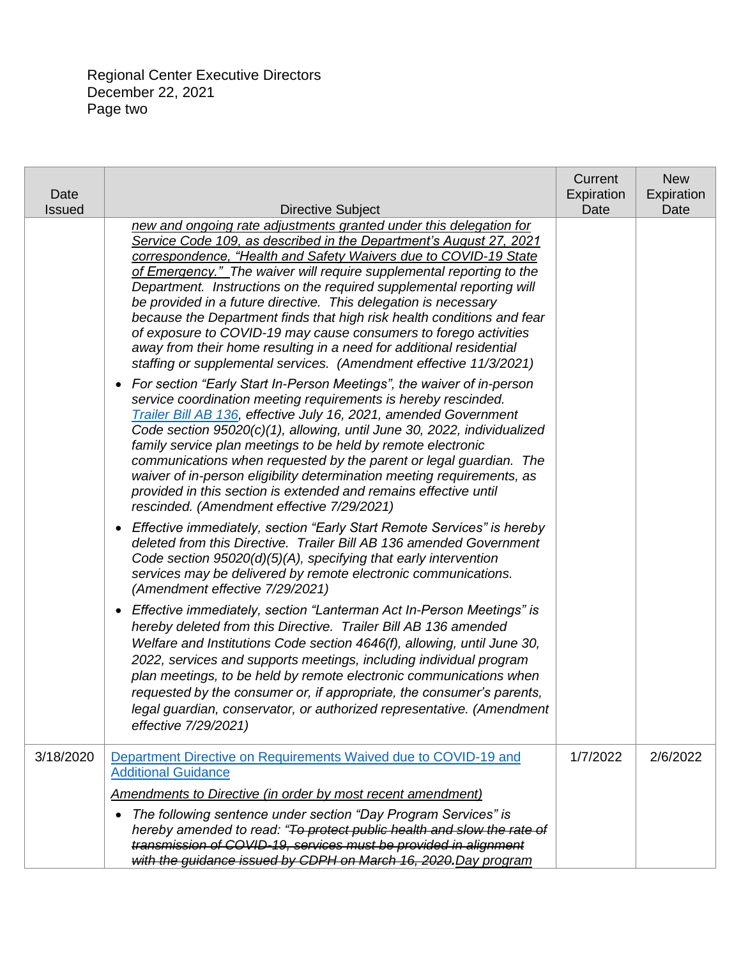| Date<br><b>Issued</b> | <b>Directive Subject</b>                                                                                                                                                                                                                                                                                                                                                                                                                                                                                                                                                                                                                                                                                                                                                                                         | Current<br>Expiration<br>Date | <b>New</b><br>Expiration<br>Date |
|-----------------------|------------------------------------------------------------------------------------------------------------------------------------------------------------------------------------------------------------------------------------------------------------------------------------------------------------------------------------------------------------------------------------------------------------------------------------------------------------------------------------------------------------------------------------------------------------------------------------------------------------------------------------------------------------------------------------------------------------------------------------------------------------------------------------------------------------------|-------------------------------|----------------------------------|
|                       | new and ongoing rate adjustments granted under this delegation for<br>Service Code 109, as described in the Department's August 27, 2021<br>correspondence, "Health and Safety Waivers due to COVID-19 State<br>of Emergency." The waiver will require supplemental reporting to the<br>Department. Instructions on the required supplemental reporting will<br>be provided in a future directive. This delegation is necessary<br>because the Department finds that high risk health conditions and fear<br>of exposure to COVID-19 may cause consumers to forego activities<br>away from their home resulting in a need for additional residential<br>staffing or supplemental services. (Amendment effective 11/3/2021)<br>For section "Early Start In-Person Meetings", the waiver of in-person<br>$\bullet$ |                               |                                  |
|                       | service coordination meeting requirements is hereby rescinded.<br>Trailer Bill AB 136, effective July 16, 2021, amended Government<br>Code section 95020(c)(1), allowing, until June 30, 2022, individualized<br>family service plan meetings to be held by remote electronic<br>communications when requested by the parent or legal guardian. The<br>waiver of in-person eligibility determination meeting requirements, as<br>provided in this section is extended and remains effective until<br>rescinded. (Amendment effective 7/29/2021)                                                                                                                                                                                                                                                                  |                               |                                  |
|                       | Effective immediately, section "Early Start Remote Services" is hereby<br>$\bullet$<br>deleted from this Directive. Trailer Bill AB 136 amended Government<br>Code section 95020(d)(5)(A), specifying that early intervention<br>services may be delivered by remote electronic communications.<br>(Amendment effective 7/29/2021)                                                                                                                                                                                                                                                                                                                                                                                                                                                                               |                               |                                  |
|                       | Effective immediately, section "Lanterman Act In-Person Meetings" is<br>$\bullet$<br>hereby deleted from this Directive. Trailer Bill AB 136 amended<br>Welfare and Institutions Code section 4646(f), allowing, until June 30,<br>2022, services and supports meetings, including individual program<br>plan meetings, to be held by remote electronic communications when<br>requested by the consumer or, if appropriate, the consumer's parents,<br>legal guardian, conservator, or authorized representative. (Amendment<br>effective 7/29/2021)                                                                                                                                                                                                                                                            |                               |                                  |
| 3/18/2020             | Department Directive on Requirements Waived due to COVID-19 and<br><b>Additional Guidance</b>                                                                                                                                                                                                                                                                                                                                                                                                                                                                                                                                                                                                                                                                                                                    | 1/7/2022                      | 2/6/2022                         |
|                       | Amendments to Directive (in order by most recent amendment)                                                                                                                                                                                                                                                                                                                                                                                                                                                                                                                                                                                                                                                                                                                                                      |                               |                                  |
|                       | The following sentence under section "Day Program Services" is<br>$\bullet$<br>hereby amended to read: "To protect public health and slow the rate of<br>transmission of COVID-19, services must be provided in alignment<br>with the guidance issued by CDPH on March 16, 2020. Day program                                                                                                                                                                                                                                                                                                                                                                                                                                                                                                                     |                               |                                  |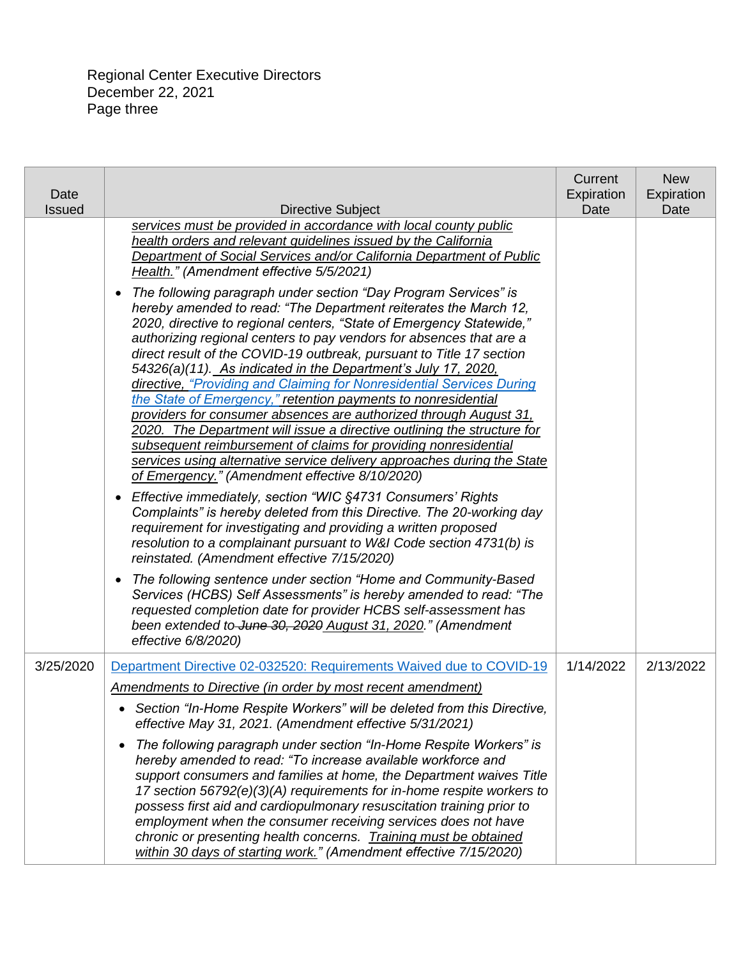| Date<br><b>Issued</b> | Directive Subject                                                                                                                                                                                                                                                                                                                                                                                                                                                                                                                                                                                                                                                                                                                                                                                                                                                                                                                                                                                                                                                                                                                                                                           | Current<br>Expiration<br>Date | <b>New</b><br>Expiration<br>Date |
|-----------------------|---------------------------------------------------------------------------------------------------------------------------------------------------------------------------------------------------------------------------------------------------------------------------------------------------------------------------------------------------------------------------------------------------------------------------------------------------------------------------------------------------------------------------------------------------------------------------------------------------------------------------------------------------------------------------------------------------------------------------------------------------------------------------------------------------------------------------------------------------------------------------------------------------------------------------------------------------------------------------------------------------------------------------------------------------------------------------------------------------------------------------------------------------------------------------------------------|-------------------------------|----------------------------------|
|                       | services must be provided in accordance with local county public<br>health orders and relevant guidelines issued by the California<br>Department of Social Services and/or California Department of Public<br>Health." (Amendment effective 5/5/2021)<br>The following paragraph under section "Day Program Services" is<br>$\bullet$<br>hereby amended to read: "The Department reiterates the March 12,<br>2020, directive to regional centers, "State of Emergency Statewide,"<br>authorizing regional centers to pay vendors for absences that are a<br>direct result of the COVID-19 outbreak, pursuant to Title 17 section<br>54326(a)(11). As indicated in the Department's July 17, 2020,<br>directive, "Providing and Claiming for Nonresidential Services During<br>the State of Emergency," retention payments to nonresidential<br>providers for consumer absences are authorized through August 31.<br>2020. The Department will issue a directive outlining the structure for<br>subsequent reimbursement of claims for providing nonresidential<br>services using alternative service delivery approaches during the State<br>of Emergency." (Amendment effective 8/10/2020) |                               |                                  |
|                       | Effective immediately, section "WIC §4731 Consumers' Rights<br>$\bullet$<br>Complaints" is hereby deleted from this Directive. The 20-working day<br>requirement for investigating and providing a written proposed<br>resolution to a complainant pursuant to W&I Code section 4731(b) is<br>reinstated. (Amendment effective 7/15/2020)                                                                                                                                                                                                                                                                                                                                                                                                                                                                                                                                                                                                                                                                                                                                                                                                                                                   |                               |                                  |
|                       | The following sentence under section "Home and Community-Based<br>$\bullet$<br>Services (HCBS) Self Assessments" is hereby amended to read: "The<br>requested completion date for provider HCBS self-assessment has<br>been extended to June 30, 2020 August 31, 2020." (Amendment<br>effective 6/8/2020)                                                                                                                                                                                                                                                                                                                                                                                                                                                                                                                                                                                                                                                                                                                                                                                                                                                                                   |                               |                                  |
| 3/25/2020             | Department Directive 02-032520: Requirements Waived due to COVID-19                                                                                                                                                                                                                                                                                                                                                                                                                                                                                                                                                                                                                                                                                                                                                                                                                                                                                                                                                                                                                                                                                                                         | 1/14/2022                     | 2/13/2022                        |
|                       | <b>Amendments to Directive (in order by most recent amendment)</b><br>• Section "In-Home Respite Workers" will be deleted from this Directive,<br>effective May 31, 2021. (Amendment effective 5/31/2021)                                                                                                                                                                                                                                                                                                                                                                                                                                                                                                                                                                                                                                                                                                                                                                                                                                                                                                                                                                                   |                               |                                  |
|                       | The following paragraph under section "In-Home Respite Workers" is<br>$\bullet$<br>hereby amended to read: "To increase available workforce and<br>support consumers and families at home, the Department waives Title<br>17 section 56792(e)(3)(A) requirements for in-home respite workers to<br>possess first aid and cardiopulmonary resuscitation training prior to<br>employment when the consumer receiving services does not have<br>chronic or presenting health concerns. Training must be obtained<br>within 30 days of starting work." (Amendment effective 7/15/2020)                                                                                                                                                                                                                                                                                                                                                                                                                                                                                                                                                                                                          |                               |                                  |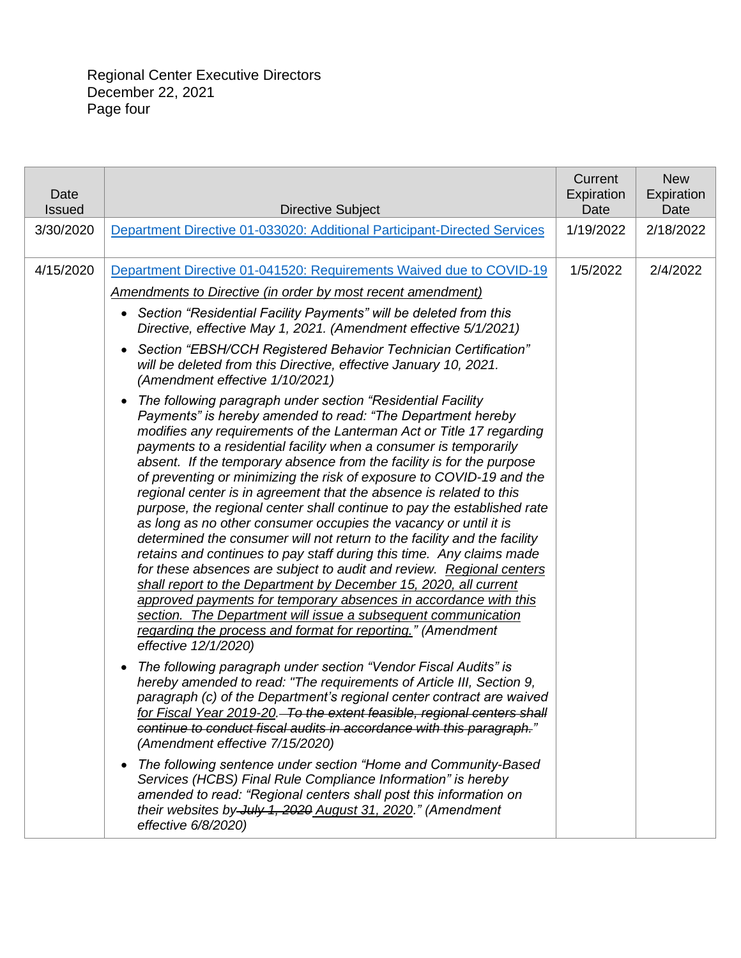| Date<br><b>Issued</b> | <b>Directive Subject</b>                                                                                                                                                                                                                                                                                                                                                                                                                                                                                                                                                                                                                                                                                                                                                                                                                                                                                                                                                                                                                                                                                                                                                                                                                                                                                                                                                                                                                                                                                                                                                                                                                                                                                                                                                                                                                                                                                                                                                                                                                                                                                  | Current<br>Expiration<br>Date | <b>New</b><br>Expiration<br>Date |
|-----------------------|-----------------------------------------------------------------------------------------------------------------------------------------------------------------------------------------------------------------------------------------------------------------------------------------------------------------------------------------------------------------------------------------------------------------------------------------------------------------------------------------------------------------------------------------------------------------------------------------------------------------------------------------------------------------------------------------------------------------------------------------------------------------------------------------------------------------------------------------------------------------------------------------------------------------------------------------------------------------------------------------------------------------------------------------------------------------------------------------------------------------------------------------------------------------------------------------------------------------------------------------------------------------------------------------------------------------------------------------------------------------------------------------------------------------------------------------------------------------------------------------------------------------------------------------------------------------------------------------------------------------------------------------------------------------------------------------------------------------------------------------------------------------------------------------------------------------------------------------------------------------------------------------------------------------------------------------------------------------------------------------------------------------------------------------------------------------------------------------------------------|-------------------------------|----------------------------------|
| 3/30/2020             | Department Directive 01-033020: Additional Participant-Directed Services                                                                                                                                                                                                                                                                                                                                                                                                                                                                                                                                                                                                                                                                                                                                                                                                                                                                                                                                                                                                                                                                                                                                                                                                                                                                                                                                                                                                                                                                                                                                                                                                                                                                                                                                                                                                                                                                                                                                                                                                                                  | 1/19/2022                     | 2/18/2022                        |
| 4/15/2020             | Department Directive 01-041520: Requirements Waived due to COVID-19<br><b>Amendments to Directive (in order by most recent amendment)</b><br>Section "Residential Facility Payments" will be deleted from this<br>$\bullet$<br>Directive, effective May 1, 2021. (Amendment effective 5/1/2021)<br>Section "EBSH/CCH Registered Behavior Technician Certification"<br>$\bullet$<br>will be deleted from this Directive, effective January 10, 2021.<br>(Amendment effective 1/10/2021)<br>The following paragraph under section "Residential Facility<br>$\bullet$<br>Payments" is hereby amended to read: "The Department hereby<br>modifies any requirements of the Lanterman Act or Title 17 regarding<br>payments to a residential facility when a consumer is temporarily<br>absent. If the temporary absence from the facility is for the purpose<br>of preventing or minimizing the risk of exposure to COVID-19 and the<br>regional center is in agreement that the absence is related to this<br>purpose, the regional center shall continue to pay the established rate<br>as long as no other consumer occupies the vacancy or until it is<br>determined the consumer will not return to the facility and the facility<br>retains and continues to pay staff during this time. Any claims made<br>for these absences are subject to audit and review. Regional centers<br>shall report to the Department by December 15, 2020, all current<br>approved payments for temporary absences in accordance with this<br>section. The Department will issue a subsequent communication<br>regarding the process and format for reporting." (Amendment<br>effective 12/1/2020)<br>The following paragraph under section "Vendor Fiscal Audits" is<br>$\bullet$<br>hereby amended to read: "The requirements of Article III, Section 9,<br>paragraph (c) of the Department's regional center contract are waived<br>for Fiscal Year 2019-20. To the extent feasible, regional centers shall<br>continue to conduct fiscal audits in accordance with this paragraph."<br>(Amendment effective 7/15/2020) | 1/5/2022                      | 2/4/2022                         |
|                       | The following sentence under section "Home and Community-Based<br>$\bullet$<br>Services (HCBS) Final Rule Compliance Information" is hereby<br>amended to read: "Regional centers shall post this information on<br>their websites by July 1, 2020 August 31, 2020." (Amendment<br>effective 6/8/2020)                                                                                                                                                                                                                                                                                                                                                                                                                                                                                                                                                                                                                                                                                                                                                                                                                                                                                                                                                                                                                                                                                                                                                                                                                                                                                                                                                                                                                                                                                                                                                                                                                                                                                                                                                                                                    |                               |                                  |